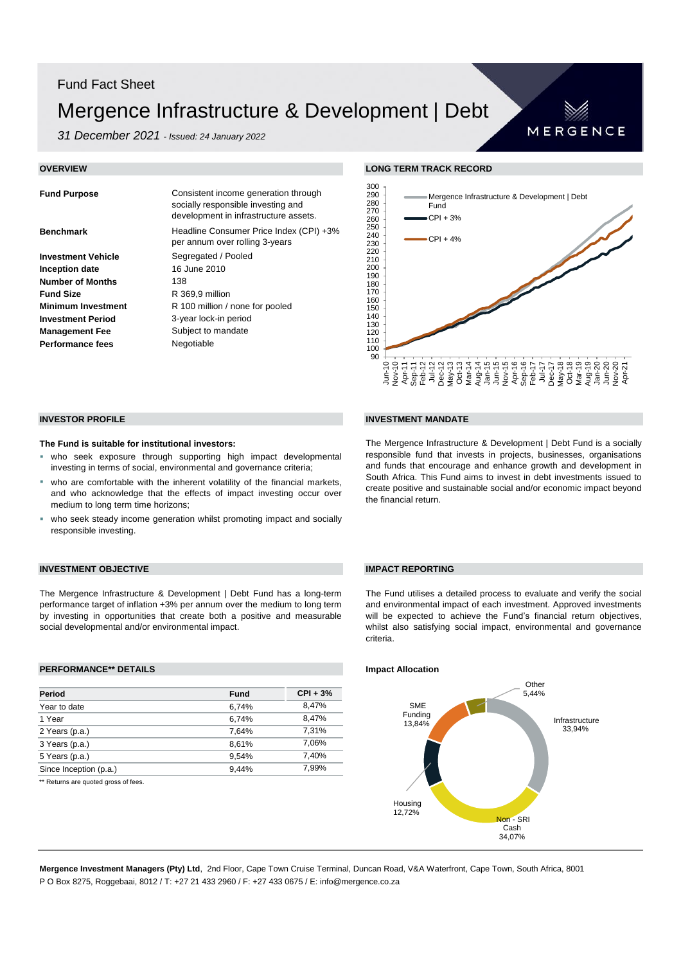# Fund Fact Sheet Mergence Infrastructure & Development | Debt

*31 December 2021 - Issued: 24 January 2022*

| <b>Fund Purpose</b>       | Consistent income generation through<br>socially responsible investing and<br>development in infrastructure assets. |
|---------------------------|---------------------------------------------------------------------------------------------------------------------|
| <b>Benchmark</b>          | Headline Consumer Price Index (CPI) +3%<br>per annum over rolling 3-years                                           |
| <b>Investment Vehicle</b> | Segregated / Pooled                                                                                                 |
| Inception date            | 16 June 2010                                                                                                        |
| <b>Number of Months</b>   | 138                                                                                                                 |
| <b>Fund Size</b>          | R 369,9 million                                                                                                     |
| <b>Minimum Investment</b> | R 100 million / none for pooled                                                                                     |
| <b>Investment Period</b>  | 3-year lock-in period                                                                                               |
| <b>Management Fee</b>     | Subject to mandate                                                                                                  |
| <b>Performance fees</b>   | Negotiable                                                                                                          |

### **OVERVIEW LONG TERM TRACK RECORD**



MERGENCE

### **The Fund is suitable for institutional investors:**

- who seek exposure through supporting high impact developmental investing in terms of social, environmental and governance criteria;
- who are comfortable with the inherent volatility of the financial markets, and who acknowledge that the effects of impact investing occur over medium to long term time horizons;
- who seek steady income generation whilst promoting impact and socially responsible investing.

### **INVESTMENT OBJECTIVE IMPACT REPORTING**

The Mergence Infrastructure & Development | Debt Fund has a long-term performance target of inflation +3% per annum over the medium to long term by investing in opportunities that create both a positive and measurable social developmental and/or environmental impact.

### **PERFORMANCE\*\* DETAILS Impact Allocation**

| Period                 | <b>Fund</b> | $CPI + 3%$ |
|------------------------|-------------|------------|
| Year to date           | 6,74%       | 8.47%      |
| 1 Year                 | 6.74%       | 8.47%      |
| 2 Years (p.a.)         | 7.64%       | 7.31%      |
| 3 Years (p.a.)         | 8.61%       | 7.06%      |
| 5 Years (p.a.)         | 9.54%       | 7,40%      |
| Since Inception (p.a.) | 9.44%       | 7.99%      |

\*\* Returns are quoted gross of fees.

### **INVESTOR PROFILE INVESTMENT MANDATE**

The Mergence Infrastructure & Development | Debt Fund is a socially responsible fund that invests in projects, businesses, organisations and funds that encourage and enhance growth and development in South Africa. This Fund aims to invest in debt investments issued to create positive and sustainable social and/or economic impact beyond the financial return.

The Fund utilises a detailed process to evaluate and verify the social and environmental impact of each investment. Approved investments will be expected to achieve the Fund's financial return objectives, whilst also satisfying social impact, environmental and governance criteria.